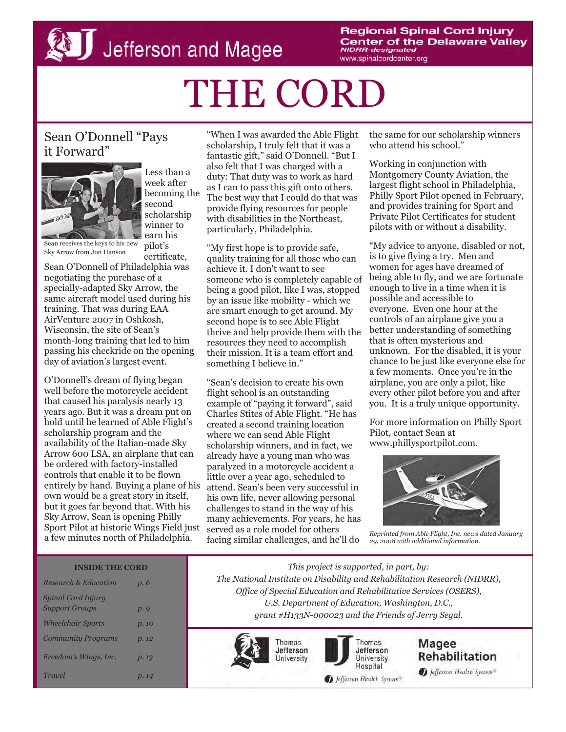**Regional Spinal Cord Injury Center of the Delaware Valley NIDRR-designated** www.spinalcordcenter.org

# THE CORD

# Sean O'Donnell "Pays it Forward"



Less than a week after becoming the second scholarship winner to earn his pilot's

certificate,

Sean receives the keys to his new Sky Arrow from Jon Hanson

Sean O'Donnell of Philadelphia was negotiating the purchase of a specially-adapted Sky Arrow, the same aircraft model used during his training. That was during EAA AirVenture 2007 in Oshkosh, Wisconsin, the site of Sean's month-long training that led to him passing his checkride on the opening day of aviation's largest event.

O'Donnell's dream of flying began well before the motorcycle accident that caused his paralysis nearly 13 years ago. But it was a dream put on hold until he learned of Able Flight's scholarship program and the availability of the Italian-made Sky Arrow 600 LSA, an airplane that can be ordered with factory-installed controls that enable it to be flown entirely by hand. Buying a plane of his own would be a great story in itself, but it goes far beyond that. With his Sky Arrow, Sean is opening Philly Sport Pilot at historic Wings Field just a few minutes north of Philadelphia.

"When I was awarded the Able Flight scholarship, I truly felt that it was a fantastic gift," said O'Donnell. "But I also felt that I was charged with a duty: That duty was to work as hard as I can to pass this gift onto others. The best way that I could do that was provide flying resources for people with disabilities in the Northeast, particularly, Philadelphia.

"My first hope is to provide safe, quality training for all those who can achieve it. I don't want to see someone who is completely capable of being a good pilot, like I was, stopped by an issue like mobility - which we are smart enough to get around. My second hope is to see Able Flight thrive and help provide them with the resources they need to accomplish their mission. It is a team effort and something I believe in."

"Sean's decision to create his own flight school is an outstanding example of "paying it forward", said Charles Stites of Able Flight. "He has created a second training location where we can send Able Flight scholarship winners, and in fact, we already have a young man who was paralyzed in a motorcycle accident a little over a year ago, scheduled to attend. Sean's been very successful in his own life, never allowing personal challenges to stand in the way of his many achievements. For years, he has served as a role model for others facing similar challenges, and he'll do

the same for our scholarship winners who attend his school."

Working in conjunction with Montgomery County Aviation, the largest flight school in Philadelphia, Philly Sport Pilot opened in February, and provides training for Sport and Private Pilot Certificates for student pilots with or without a disability.

"My advice to anyone, disabled or not, is to give flying a try. Men and women for ages have dreamed of being able to fly, and we are fortunate enough to live in a time when it is possible and accessible to everyone. Even one hour at the controls of an airplane give you a better understanding of something that is often mysterious and unknown. For the disabled, it is your chance to be just like everyone else for a few moments. Once you're in the airplane, you are only a pilot, like every other pilot before you and after you. It is a truly unique opportunity.

For more information on Philly Sport Pilot, contact Sean at www.phillysportpilot.com.



*Reprinted from Able Flight, Inc. news dated January 29, 2008 with additional information.* 

### **INSIDE THE CORD**

| <b>Research &amp; Education</b>             | p. 6  |
|---------------------------------------------|-------|
| Spinal Cord Injury<br><b>Support Groups</b> | p.9   |
| <b>Wheelchair Sports</b>                    | p. 10 |
| <b>Community Programs</b>                   | p.12  |
| Freedom's Wings, Inc.                       | p.13  |
| Travel                                      | p. 14 |

*This project is supported, in part, by: The National Institute on Disability and Rehabilitation Research (NIDRR), Office of Special Education and Rehabilitative Services (OSERS), U.S. Department of Education, Washington, D.C., grant #H133N-000023 and the Friends of Jerry Segal.* 







**Rehabilitation** D Jefferson Health System

Magee

Jefferson Health System®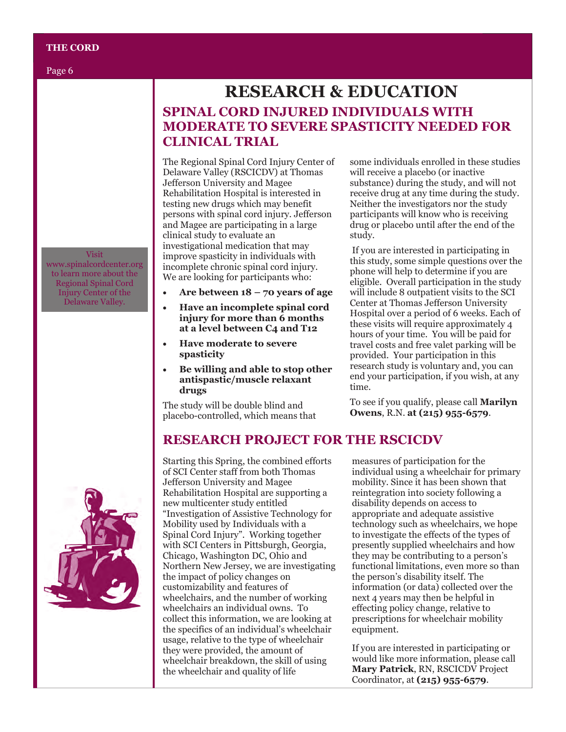### **THE CORD**

Page 6

#### Visit

www.spinalcordcenter.org to learn more about the Regional Spinal Cord Injury Center of the Delaware Valley.

# **SPINAL CORD INJURED INDIVIDUALS WITH MODERATE TO SEVERE SPASTICITY NEEDED FOR CLINICAL TRIAL RESEARCH & EDUCATION**

The Regional Spinal Cord Injury Center of Delaware Valley (RSCICDV) at Thomas Jefferson University and Magee Rehabilitation Hospital is interested in testing new drugs which may benefit persons with spinal cord injury. Jefferson and Magee are participating in a large clinical study to evaluate an investigational medication that may improve spasticity in individuals with incomplete chronic spinal cord injury. We are looking for participants who:

- Are between  $18 70$  years of age
- **Have an incomplete spinal cord injury for more than 6 months at a level between C4 and T12**
- **Have moderate to severe spasticity**
- **Be willing and able to stop other antispastic/muscle relaxant drugs**

The study will be double blind and placebo-controlled, which means that

some individuals enrolled in these studies will receive a placebo (or inactive substance) during the study, and will not receive drug at any time during the study. Neither the investigators nor the study participants will know who is receiving drug or placebo until after the end of the study.

If you are interested in participating in this study, some simple questions over the phone will help to determine if you are eligible. Overall participation in the study will include 8 outpatient visits to the SCI Center at Thomas Jefferson University Hospital over a period of 6 weeks. Each of these visits will require approximately 4 hours of your time. You will be paid for travel costs and free valet parking will be provided. Your participation in this research study is voluntary and, you can end your participation, if you wish, at any time.

To see if you qualify, please call **Marilyn Owens**, R.N. **at (215) 955-6579**.

### **RESEARCH PROJECT FOR THE RSCICDV**

Starting this Spring, the combined efforts of SCI Center staff from both Thomas Jefferson University and Magee Rehabilitation Hospital are supporting a new multicenter study entitled "Investigation of Assistive Technology for Mobility used by Individuals with a Spinal Cord Injury". Working together with SCI Centers in Pittsburgh, Georgia, Chicago, Washington DC, Ohio and Northern New Jersey, we are investigating the impact of policy changes on customizability and features of wheelchairs, and the number of working wheelchairs an individual owns. To collect this information, we are looking at the specifics of an individual's wheelchair usage, relative to the type of wheelchair they were provided, the amount of wheelchair breakdown, the skill of using the wheelchair and quality of life

measures of participation for the individual using a wheelchair for primary mobility. Since it has been shown that reintegration into society following a disability depends on access to appropriate and adequate assistive technology such as wheelchairs, we hope to investigate the effects of the types of presently supplied wheelchairs and how they may be contributing to a person's functional limitations, even more so than the person's disability itself. The information (or data) collected over the next 4 years may then be helpful in effecting policy change, relative to prescriptions for wheelchair mobility equipment.

If you are interested in participating or would like more information, please call **Mary Patrick**, RN, RSCICDV Project Coordinator, at **(215) 955-6579**.

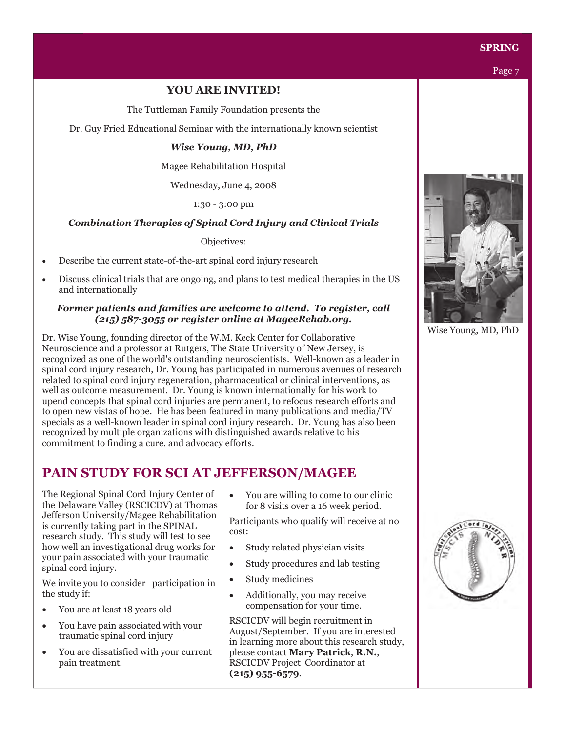

### **YOU ARE INVITED!**

The Tuttleman Family Foundation presents the

Dr. Guy Fried Educational Seminar with the internationally known scientist

### *Wise Young, MD, PhD*

Magee Rehabilitation Hospital

Wednesday, June 4, 2008

1:30 - 3:00 pm

### *Combination Therapies of Spinal Cord Injury and Clinical Trials*

Objectives:

- Describe the current state-of-the-art spinal cord injury research
- Discuss clinical trials that are ongoing, and plans to test medical therapies in the US and internationally

### *Former patients and families are welcome to attend. To register, call (215) 587-3055 or register online at MageeRehab.org.*

Dr. Wise Young, founding director of the W.M. Keck Center for Collaborative Neuroscience and a professor at Rutgers, The State University of New Jersey, is recognized as one of the world's outstanding neuroscientists. Well-known as a leader in spinal cord injury research, Dr. Young has participated in numerous avenues of research related to spinal cord injury regeneration, pharmaceutical or clinical interventions, as well as outcome measurement. Dr. Young is known internationally for his work to upend concepts that spinal cord injuries are permanent, to refocus research efforts and to open new vistas of hope. He has been featured in many publications and media/TV specials as a well-known leader in spinal cord injury research. Dr. Young has also been recognized by multiple organizations with distinguished awards relative to his commitment to finding a cure, and advocacy efforts.

# **PAIN STUDY FOR SCI AT JEFFERSON/MAGEE**

The Regional Spinal Cord Injury Center of the Delaware Valley (RSCICDV) at Thomas Jefferson University/Magee Rehabilitation is currently taking part in the SPINAL research study. This study will test to see how well an investigational drug works for your pain associated with your traumatic spinal cord injury.

We invite you to consider participation in the study if:

- You are at least 18 years old
- You have pain associated with your traumatic spinal cord injury
- You are dissatisfied with your current pain treatment.

• You are willing to come to our clinic for 8 visits over a 16 week period.

Participants who qualify will receive at no cost:

- Study related physician visits
- Study procedures and lab testing
- Study medicines
- Additionally, you may receive compensation for your time.

RSCICDV will begin recruitment in August/September. If you are interested in learning more about this research study, please contact **Mary Patrick**, **R.N.**, RSCICDV Project Coordinator at **(215) 955-6579**.



Wise Young, MD, PhD

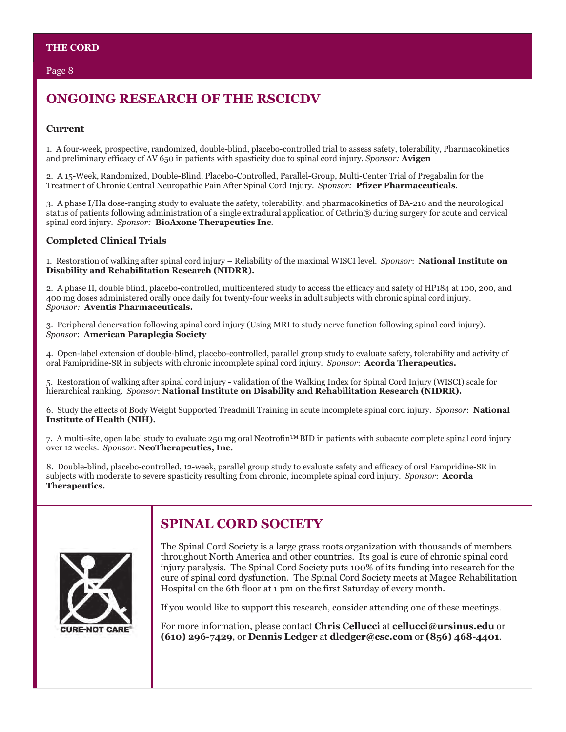### Page 8

# **ONGOING RESEARCH OF THE RSCICDV**

### **Current**

1. A four-week, prospective, randomized, double-blind, placebo-controlled trial to assess safety, tolerability, Pharmacokinetics and preliminary efficacy of AV 650 in patients with spasticity due to spinal cord injury. *Sponsor:* **Avigen**

2. A 15-Week, Randomized, Double-Blind, Placebo-Controlled, Parallel-Group, Multi-Center Trial of Pregabalin for the Treatment of Chronic Central Neuropathic Pain After Spinal Cord Injury. *Sponsor:* **Pfizer Pharmaceuticals**.

3. A phase I/IIa dose-ranging study to evaluate the safety, tolerability, and pharmacokinetics of BA-210 and the neurological status of patients following administration of a single extradural application of Cethrin® during surgery for acute and cervical spinal cord injury. *Sponsor:* **BioAxone Therapeutics Inc**.

### **Completed Clinical Trials**

1. Restoration of walking after spinal cord injury – Reliability of the maximal WISCI level. *Sponsor*: **National Institute on Disability and Rehabilitation Research (NIDRR).**

2. A phase II, double blind, placebo-controlled, multicentered study to access the efficacy and safety of HP184 at 100, 200, and 400 mg doses administered orally once daily for twenty-four weeks in adult subjects with chronic spinal cord injury. *Sponsor:* **Aventis Pharmaceuticals.**

3. Peripheral denervation following spinal cord injury (Using MRI to study nerve function following spinal cord injury). *Sponsor*: **American Paraplegia Society**

4. Open-label extension of double-blind, placebo-controlled, parallel group study to evaluate safety, tolerability and activity of oral Famipridine-SR in subjects with chronic incomplete spinal cord injury. *Sponsor*: **Acorda Therapeutics.**

5. Restoration of walking after spinal cord injury - validation of the Walking Index for Spinal Cord Injury (WISCI) scale for hierarchical ranking. *Sponsor*: **National Institute on Disability and Rehabilitation Research (NIDRR).**

6. Study the effects of Body Weight Supported Treadmill Training in acute incomplete spinal cord injury. *Sponsor*: **National Institute of Health (NIH).**

7. A multi-site, open label study to evaluate 250 mg oral Neotrofin<sup>TM</sup> BID in patients with subacute complete spinal cord injury over 12 weeks. *Sponsor*: **NeoTherapeutics, Inc.**

8. Double-blind, placebo-controlled, 12-week, parallel group study to evaluate safety and efficacy of oral Fampridine-SR in subjects with moderate to severe spasticity resulting from chronic, incomplete spinal cord injury. *Sponsor*: **Acorda Therapeutics.**



# **SPINAL CORD SOCIETY**

The Spinal Cord Society is a large grass roots organization with thousands of members throughout North America and other countries. Its goal is cure of chronic spinal cord injury paralysis. The Spinal Cord Society puts 100% of its funding into research for the cure of spinal cord dysfunction. The Spinal Cord Society meets at Magee Rehabilitation Hospital on the 6th floor at 1 pm on the first Saturday of every month.

If you would like to support this research, consider attending one of these meetings.

For more information, please contact **Chris Cellucci** at **cellucci@ursinus.edu** or **(610) 296-7429**, or **Dennis Ledger** at **dledger@csc.com** or **(856) 468-4401**.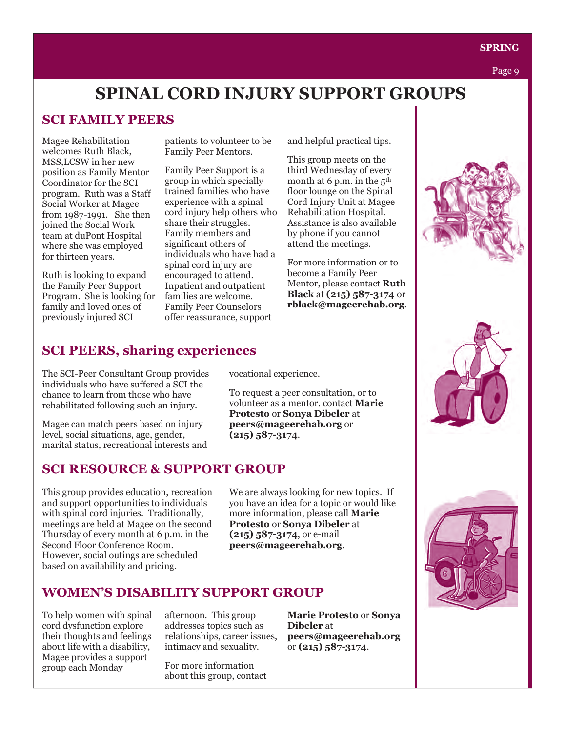# **SPINAL CORD INJURY SUPPORT GROUPS**

# **SCI FAMILY PEERS**

Magee Rehabilitation welcomes Ruth Black, MSS,LCSW in her new position as Family Mentor Coordinator for the SCI program. Ruth was a Staff Social Worker at Magee from 1987-1991. She then joined the Social Work team at duPont Hospital where she was employed for thirteen years.

Ruth is looking to expand the Family Peer Support Program. She is looking for family and loved ones of previously injured SCI

patients to volunteer to be Family Peer Mentors.

Family Peer Support is a group in which specially trained families who have experience with a spinal cord injury help others who share their struggles. Family members and significant others of individuals who have had a spinal cord injury are encouraged to attend. Inpatient and outpatient families are welcome. Family Peer Counselors offer reassurance, support

and helpful practical tips.

This group meets on the third Wednesday of every month at 6 p.m. in the  $5<sup>th</sup>$ floor lounge on the Spinal Cord Injury Unit at Magee Rehabilitation Hospital. Assistance is also available by phone if you cannot attend the meetings.

For more information or to become a Family Peer Mentor, please contact **Ruth Black** at **(215) 587-3174** or **rblack@mageerehab.org**.

# **SCI PEERS, sharing experiences**

The SCI-Peer Consultant Group provides individuals who have suffered a SCI the chance to learn from those who have rehabilitated following such an injury.

Magee can match peers based on injury level, social situations, age, gender, marital status, recreational interests and

# **SCI RESOURCE & SUPPORT GROUP**

This group provides education, recreation and support opportunities to individuals with spinal cord injuries. Traditionally, meetings are held at Magee on the second Thursday of every month at 6 p.m. in the Second Floor Conference Room. However, social outings are scheduled based on availability and pricing.

vocational experience.

To request a peer consultation, or to volunteer as a mentor, contact **Marie Protesto** or **Sonya Dibeler** at **peers@mageerehab.org** or **(215) 587-3174**.

We are always looking for new topics. If you have an idea for a topic or would like more information, please call **Marie Protesto** or **Sonya Dibeler** at **(215) 587-3174**, or e-mail **peers@mageerehab.org**.

# **WOMEN'S DISABILITY SUPPORT GROUP**

To help women with spinal cord dysfunction explore their thoughts and feelings about life with a disability, Magee provides a support group each Monday

afternoon. This group addresses topics such as relationships, career issues, intimacy and sexuality.

For more information about this group, contact

**Marie Protesto** or **Sonya Dibeler** at **peers@mageerehab.org** or **(215) 587-3174**.



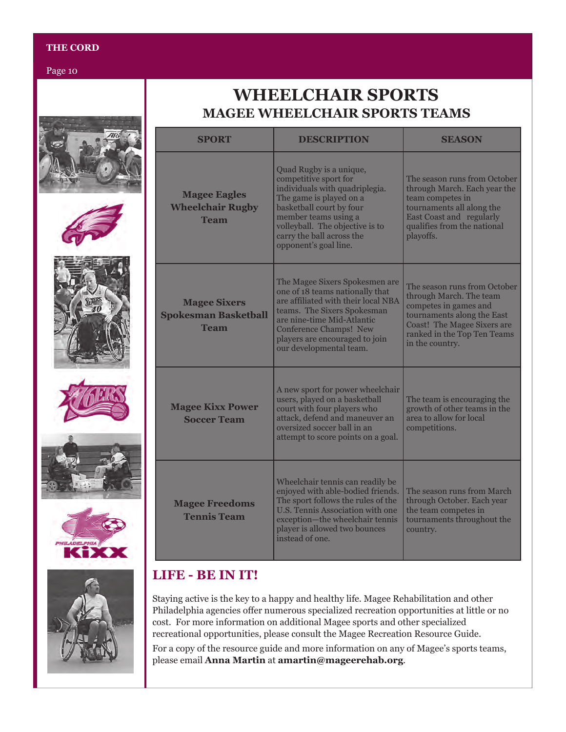### **THE CORD**

Page 10

# **MAGEE WHEELCHAIR SPORTS TEAMS WHEELCHAIR SPORTS**

| <b>SPORT</b>                                                      | <b>DESCRIPTION</b>                                                                                                                                                                                                                                                  | <b>SEASON</b>                                                                                                                                                                                          |
|-------------------------------------------------------------------|---------------------------------------------------------------------------------------------------------------------------------------------------------------------------------------------------------------------------------------------------------------------|--------------------------------------------------------------------------------------------------------------------------------------------------------------------------------------------------------|
| <b>Magee Eagles</b><br><b>Wheelchair Rugby</b><br><b>Team</b>     | Quad Rugby is a unique,<br>competitive sport for<br>individuals with quadriplegia.<br>The game is played on a<br>basketball court by four<br>member teams using a<br>volleyball. The objective is to<br>carry the ball across the<br>opponent's goal line.          | The season runs from October<br>through March. Each year the<br>team competes in<br>tournaments all along the<br><b>East Coast and regularly</b><br>qualifies from the national<br>playoffs.           |
| <b>Magee Sixers</b><br><b>Spokesman Basketball</b><br><b>Team</b> | The Magee Sixers Spokesmen are<br>one of 18 teams nationally that<br>are affiliated with their local NBA<br>teams. The Sixers Spokesman<br>are nine-time Mid-Atlantic<br><b>Conference Champs! New</b><br>players are encouraged to join<br>our developmental team. | The season runs from October<br>through March. The team<br>competes in games and<br>tournaments along the East<br><b>Coast! The Magee Sixers are</b><br>ranked in the Top Ten Teams<br>in the country. |
| <b>Magee Kixx Power</b><br><b>Soccer Team</b>                     | A new sport for power wheelchair<br>users, played on a basketball<br>court with four players who<br>attack, defend and maneuver an<br>oversized soccer ball in an<br>attempt to score points on a goal.                                                             | The team is encouraging the<br>growth of other teams in the<br>area to allow for local<br>competitions.                                                                                                |
| <b>Magee Freedoms</b><br><b>Tennis Team</b>                       | Wheelchair tennis can readily be<br>enjoyed with able-bodied friends.<br>The sport follows the rules of the<br>U.S. Tennis Association with one<br>exception-the wheelchair tennis<br>player is allowed two bounces<br>instead of one.                              | The season runs from March<br>through October. Each year<br>the team competes in<br>tournaments throughout the<br>country.                                                                             |

# **LIFE - BE IN IT!**

Staying active is the key to a happy and healthy life. Magee Rehabilitation and other Philadelphia agencies offer numerous specialized recreation opportunities at little or no cost. For more information on additional Magee sports and other specialized recreational opportunities, please consult the Magee Recreation Resource Guide.

For a copy of the resource guide and more information on any of Magee's sports teams, please email **Anna Martin** at **amartin@mageerehab.org**.













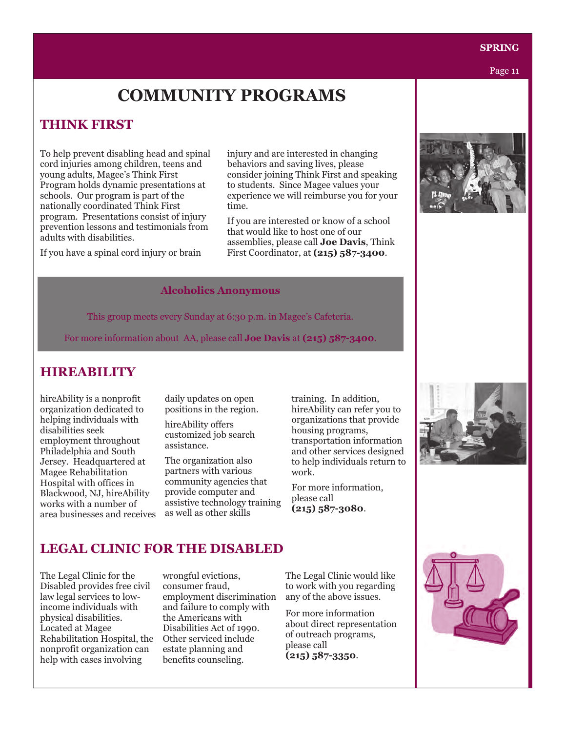Page 11

# **COMMUNITY PROGRAMS**

## **THINK FIRST**

To help prevent disabling head and spinal cord injuries among children, teens and young adults, Magee's Think First Program holds dynamic presentations at schools. Our program is part of the nationally coordinated Think First program. Presentations consist of injury prevention lessons and testimonials from adults with disabilities.

If you have a spinal cord injury or brain

injury and are interested in changing behaviors and saving lives, please consider joining Think First and speaking to students. Since Magee values your experience we will reimburse you for your time.

If you are interested or know of a school that would like to host one of our assemblies, please call **Joe Davis**, Think First Coordinator, at **(215) 587-3400**.

### **Alcoholics Anonymous**

This group meets every Sunday at 6:30 p.m. in Magee's Cafeteria.

For more information about AA, please call **Joe Davis** at **(215) 587-3400**.

# **HIREABILITY**

hireAbility is a nonprofit organization dedicated to helping individuals with disabilities seek employment throughout Philadelphia and South Jersey. Headquartered at Magee Rehabilitation Hospital with offices in Blackwood, NJ, hireAbility works with a number of area businesses and receives daily updates on open positions in the region.

hireAbility offers customized job search assistance.

The organization also partners with various community agencies that provide computer and assistive technology training as well as other skills

training. In addition, hireAbility can refer you to organizations that provide housing programs, transportation information and other services designed to help individuals return to work.

For more information, please call **(215) 587-3080**.



# **LEGAL CLINIC FOR THE DISABLED**

The Legal Clinic for the Disabled provides free civil law legal services to lowincome individuals with physical disabilities. Located at Magee Rehabilitation Hospital, the nonprofit organization can help with cases involving

wrongful evictions, consumer fraud, employment discrimination and failure to comply with the Americans with Disabilities Act of 1990. Other serviced include estate planning and benefits counseling.

The Legal Clinic would like to work with you regarding any of the above issues.

For more information about direct representation of outreach programs, please call **(215) 587-3350**.

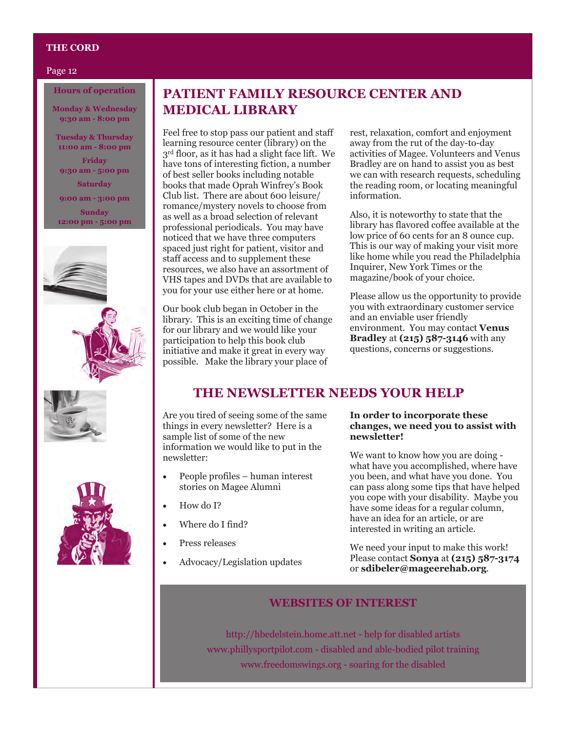### **THE CORD**

#### Page 12

### **Hours of operation**

**Monday & Wednesday 9:30 am - 8:00 pm**

**Tuesday & Thursday 11:00 am - 8:00 pm**

**Friday 9:30 am - 5:00 pm**

**Saturday 9:00 am - 3:00 pm Sunday 12:00 pm - 5:00 pm**







# **PATIENT FAMILY RESOURCE CENTER AND MEDICAL LIBRARY**

Feel free to stop pass our patient and staff learning resource center (library) on the 3<sup>rd</sup> floor, as it has had a slight face lift. We have tons of interesting fiction, a number of best seller books including notable books that made Oprah Winfrey's Book Club list. There are about 600 leisure/ romance/mystery novels to choose from as well as a broad selection of relevant professional periodicals. You may have noticed that we have three computers spaced just right for patient, visitor and staff access and to supplement these resources, we also have an assortment of VHS tapes and DVDs that are available to you for your use either here or at home.

Our book club began in October in the library. This is an exciting time of change for our library and we would like your participation to help this book club initiative and make it great in every way possible. Make the library your place of

rest, relaxation, comfort and enjoyment away from the rut of the day-to-day activities of Magee. Volunteers and Venus Bradley are on hand to assist you as best we can with research requests, scheduling the reading room, or locating meaningful information.

Also, it is noteworthy to state that the library has flavored coffee available at the low price of 60 cents for an 8 ounce cup. This is our way of making your visit more like home while you read the Philadelphia Inquirer, New York Times or the magazine/book of your choice.

Please allow us the opportunity to provide you with extraordinary customer service and an enviable user friendly environment. You may contact **Venus Bradley** at **(215) 587-3146** with any questions, concerns or suggestions.

### **THE NEWSLETTER NEEDS YOUR HELP**

Are you tired of seeing some of the same things in every newsletter? Here is a sample list of some of the new information we would like to put in the newsletter:

- People profiles human interest stories on Magee Alumni
- How do I?
- Where do I find?
- Press releases
- Advocacy/Legislation updates

### **In order to incorporate these changes, we need you to assist with newsletter!**

We want to know how you are doing what have you accomplished, where have you been, and what have you done. You can pass along some tips that have helped you cope with your disability. Maybe you have some ideas for a regular column, have an idea for an article, or are interested in writing an article.

We need your input to make this work! Please contact **Sonya** at **(215) 587-3174** or **sdibeler@mageerehab.org**.

### **WEBSITES OF INTEREST**

http://hbedelstein.home.att.net - help for disabled artists www.phillysportpilot.com - disabled and able-bodied pilot training www.freedomswings.org - soaring for the disabled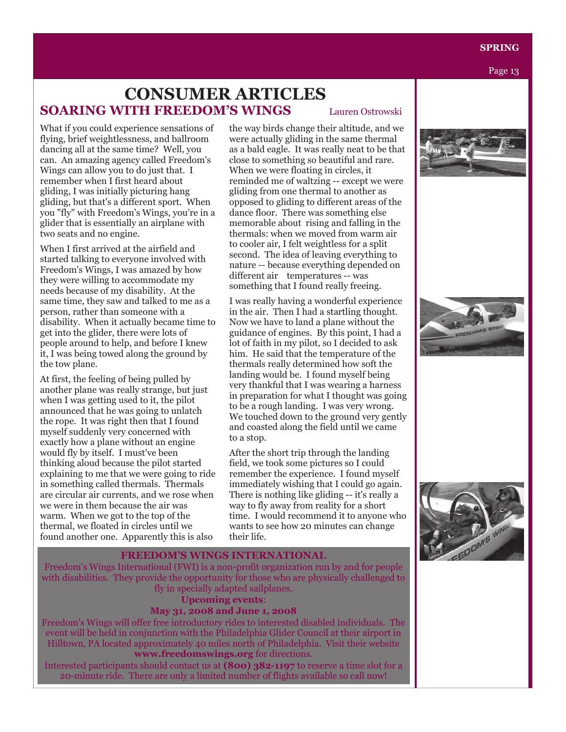Page 13

# **SOARING WITH FREEDOM'S WINGS** Lauren Ostrowski **CONSUMER ARTICLES**

What if you could experience sensations of flying, brief weightlessness, and ballroom dancing all at the same time? Well, you can. An amazing agency called Freedom's Wings can allow you to do just that. I remember when I first heard about gliding, I was initially picturing hang gliding, but that's a different sport. When you "fly" with Freedom's Wings, you're in a glider that is essentially an airplane with two seats and no engine.

When I first arrived at the airfield and started talking to everyone involved with Freedom's Wings, I was amazed by how they were willing to accommodate my needs because of my disability. At the same time, they saw and talked to me as a person, rather than someone with a disability. When it actually became time to get into the glider, there were lots of people around to help, and before I knew it, I was being towed along the ground by the tow plane.

At first, the feeling of being pulled by another plane was really strange, but just when I was getting used to it, the pilot announced that he was going to unlatch the rope. It was right then that I found myself suddenly very concerned with exactly how a plane without an engine would fly by itself. I must've been thinking aloud because the pilot started explaining to me that we were going to ride in something called thermals. Thermals are circular air currents, and we rose when we were in them because the air was warm. When we got to the top of the thermal, we floated in circles until we found another one. Apparently this is also

the way birds change their altitude, and we were actually gliding in the same thermal as a bald eagle. It was really neat to be that close to something so beautiful and rare. When we were floating in circles, it reminded me of waltzing -- except we were gliding from one thermal to another as opposed to gliding to different areas of the dance floor. There was something else memorable about rising and falling in the thermals: when we moved from warm air to cooler air, I felt weightless for a split second. The idea of leaving everything to nature -- because everything depended on different air temperatures -- was something that I found really freeing.

I was really having a wonderful experience in the air. Then I had a startling thought. Now we have to land a plane without the guidance of engines. By this point, I had a lot of faith in my pilot, so I decided to ask him. He said that the temperature of the thermals really determined how soft the landing would be. I found myself being very thankful that I was wearing a harness in preparation for what I thought was going to be a rough landing. I was very wrong. We touched down to the ground very gently and coasted along the field until we came to a stop.

After the short trip through the landing field, we took some pictures so I could remember the experience. I found myself immediately wishing that I could go again. There is nothing like gliding -- it's really a way to fly away from reality for a short time. I would recommend it to anyone who wants to see how 20 minutes can change their life.







### **FREEDOM'S WINGS INTERNATIONAL**

Freedom's Wings International (FWI) is a non-profit organization run by and for people with disabilities. They provide the opportunity for those who are physically challenged to fly in specially adapted sailplanes.

# **Upcoming events**:

### **May 31, 2008 and June 1, 2008**

Freedom's Wings will offer free introductory rides to interested disabled individuals. The event will be held in conjunction with the Philadelphia Glider Council at their airport in Hilltown, PA located approximately 40 miles north of Philadelphia. Visit their website **www.freedomswings.org** for directions.

Interested participants should contact us at **(800) 382-1197** to reserve a time slot for a 20-minute ride. There are only a limited number of flights available so call now!